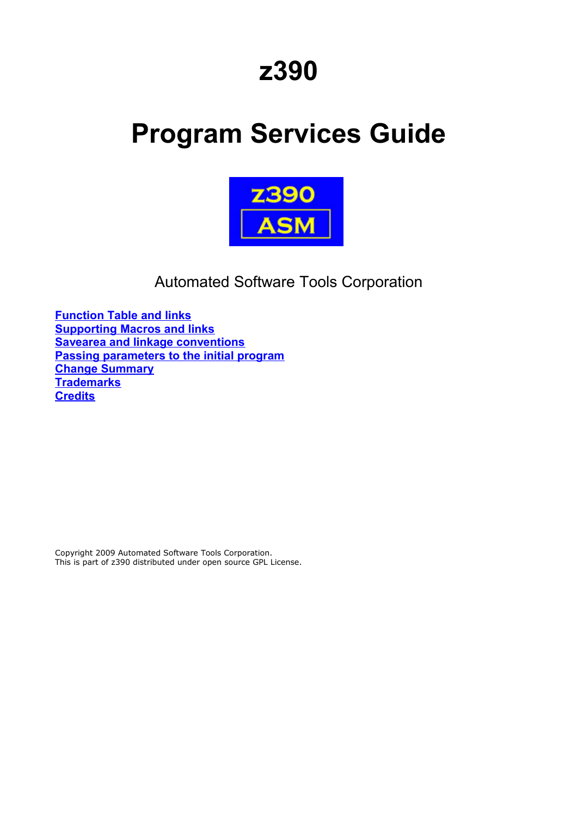# **z390**

# **Program Services Guide**



Automated Software Tools Corporation

**[Function Table and links](#page-1-0) [Supporting Macros and links](#page-2-0) [Savearea and linkage conventions](#page-3-1) [Passing parameters to the initial program](#page-3-0) [Change Summary](#page-29-0) [Trademarks](#page-30-1) [Credits](#page-30-0)**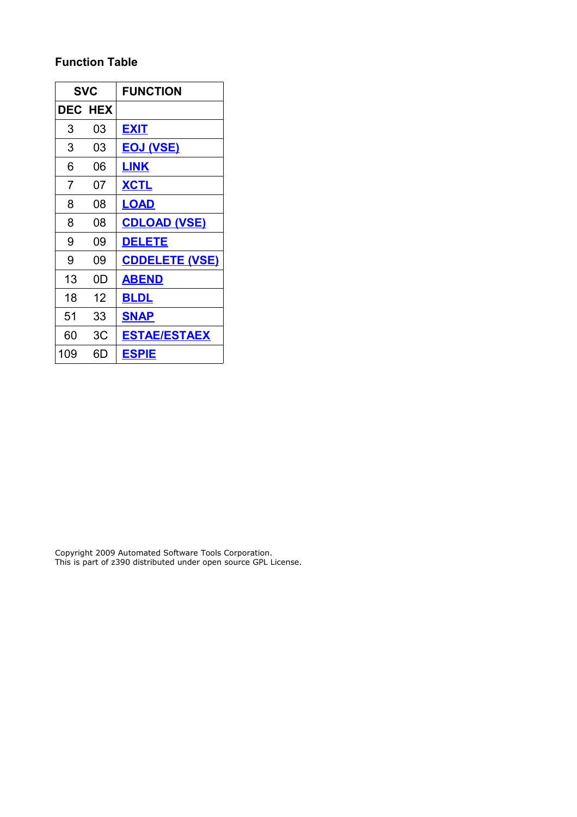# <span id="page-1-0"></span>**Function Table**

|                | SVC            | <b>FUNCTION</b>       |
|----------------|----------------|-----------------------|
|                | <b>DEC HEX</b> |                       |
| 3              | 03             | <b>EXIT</b>           |
| 3              | 03             | <u>EOJ (VSE)</u>      |
| 6              | 06             | <u>LINK</u>           |
| $\overline{7}$ | 07             | <b>XCTL</b>           |
| 8              | 08             | <b>LOAD</b>           |
| 8              | 08             | <b>CDLOAD (VSE)</b>   |
| 9              | 09             | <b>DELETE</b>         |
| 9              | 09             | <b>CDDELETE (VSE)</b> |
| 13             | 0D             | <b>ABEND</b>          |
| 18             | 12             | <b>BLDL</b>           |
| 51             | 33             | <b>SNAP</b>           |
| 60             | 3C             | <b>ESTAE/ESTAEX</b>   |
| 109            | 6D             | <b>ESPIE</b>          |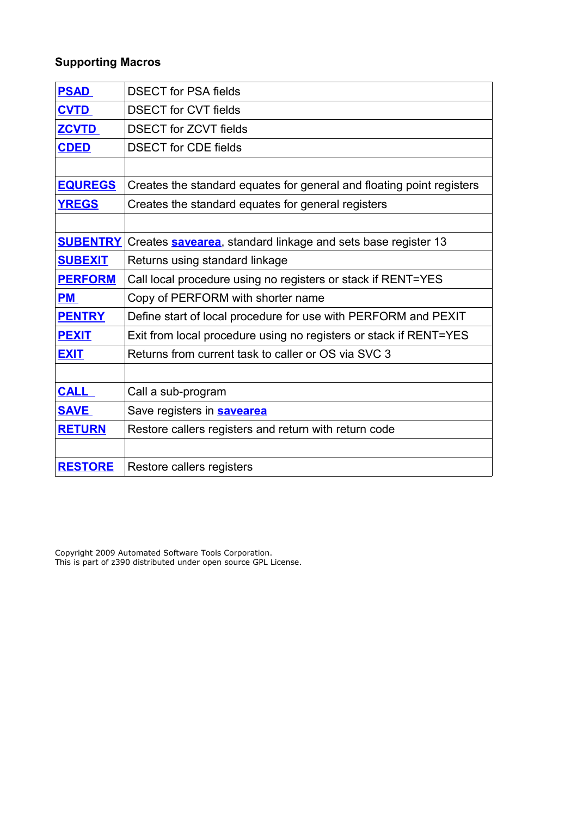# <span id="page-2-0"></span>**Supporting Macros**

| <b>PSAD</b>     | <b>DSECT for PSA fields</b>                                           |  |  |  |
|-----------------|-----------------------------------------------------------------------|--|--|--|
| <b>CVTD</b>     | <b>DSECT for CVT fields</b>                                           |  |  |  |
| <b>ZCVTD</b>    | <b>DSECT for ZCVT fields</b>                                          |  |  |  |
| <b>CDED</b>     | <b>DSECT</b> for CDE fields                                           |  |  |  |
|                 |                                                                       |  |  |  |
| <b>EQUREGS</b>  | Creates the standard equates for general and floating point registers |  |  |  |
| <b>YREGS</b>    | Creates the standard equates for general registers                    |  |  |  |
|                 |                                                                       |  |  |  |
| <b>SUBENTRY</b> | Creates <b>savearea</b> , standard linkage and sets base register 13  |  |  |  |
| <b>SUBEXIT</b>  | Returns using standard linkage                                        |  |  |  |
| <b>PERFORM</b>  | Call local procedure using no registers or stack if RENT=YES          |  |  |  |
| <b>PM</b>       | Copy of PERFORM with shorter name                                     |  |  |  |
| <b>PENTRY</b>   | Define start of local procedure for use with PERFORM and PEXIT        |  |  |  |
| <b>PEXIT</b>    | Exit from local procedure using no registers or stack if RENT=YES     |  |  |  |
| <b>EXIT</b>     | Returns from current task to caller or OS via SVC 3                   |  |  |  |
|                 |                                                                       |  |  |  |
| <b>CALL</b>     | Call a sub-program                                                    |  |  |  |
| <b>SAVE</b>     | Save registers in <b>savearea</b>                                     |  |  |  |
| <b>RETURN</b>   | Restore callers registers and return with return code                 |  |  |  |
|                 |                                                                       |  |  |  |
| <b>RESTORE</b>  | Restore callers registers                                             |  |  |  |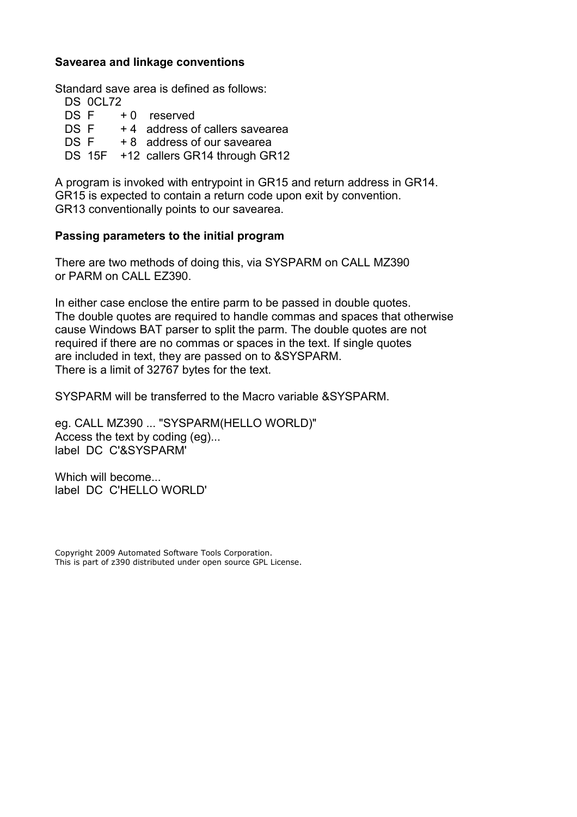# <span id="page-3-1"></span>**Savearea and linkage conventions**

Standard save area is defined as follows:

|      | DS 0CL72 |                                      |
|------|----------|--------------------------------------|
|      | DS F     | +0 reserved                          |
| DS F |          | +4 address of callers savearea       |
| DS F |          | + 8 address of our savearea          |
|      |          | DS 15F +12 callers GR14 through GR12 |
|      |          |                                      |

A program is invoked with entrypoint in GR15 and return address in GR14. GR15 is expected to contain a return code upon exit by convention. GR13 conventionally points to our savearea.

# <span id="page-3-0"></span>**Passing parameters to the initial program**

There are two methods of doing this, via SYSPARM on CALL MZ390 or PARM on CALL EZ390.

In either case enclose the entire parm to be passed in double quotes. The double quotes are required to handle commas and spaces that otherwise cause Windows BAT parser to split the parm. The double quotes are not required if there are no commas or spaces in the text. If single quotes are included in text, they are passed on to &SYSPARM. There is a limit of 32767 bytes for the text.

SYSPARM will be transferred to the Macro variable &SYSPARM.

eg. CALL MZ390 ... "SYSPARM(HELLO WORLD)" Access the text by coding (eg)... label DC C'&SYSPARM'

Which will become. label DC C'HELLO WORLD'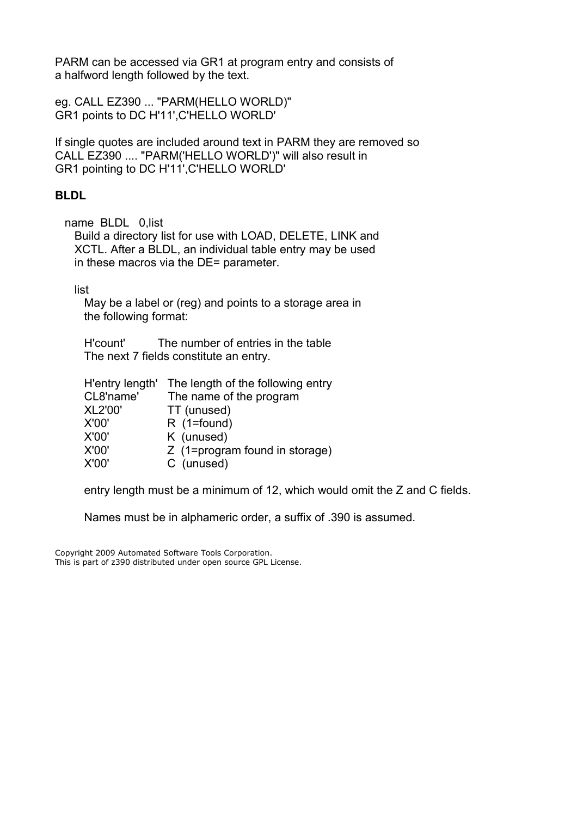PARM can be accessed via GR1 at program entry and consists of a halfword length followed by the text.

eg. CALL EZ390 ... "PARM(HELLO WORLD)" GR1 points to DC H'11',C'HELLO WORLD'

If single quotes are included around text in PARM they are removed so CALL EZ390 .... "PARM('HELLO WORLD')" will also result in GR1 pointing to DC H'11',C'HELLO WORLD'

# <span id="page-4-0"></span>**BLDL**

name BLDL 0,list

 Build a directory list for use with LOAD, DELETE, LINK and XCTL. After a BLDL, an individual table entry may be used in these macros via the DE= parameter.

list

 May be a label or (reg) and points to a storage area in the following format:

 H'count' The number of entries in the table The next 7 fields constitute an entry.

| H'entry length' | The length of the following entry |
|-----------------|-----------------------------------|
| CL8'name'       | The name of the program           |
| <b>XL2'00'</b>  | TT (unused)                       |
| X'00'           | $R(1 = found)$                    |
| X'00'           | K (unused)                        |
| X'00'           | Z (1=program found in storage)    |
| X'00'           | C (unused)                        |

entry length must be a minimum of 12, which would omit the Z and C fields.

Names must be in alphameric order, a suffix of .390 is assumed.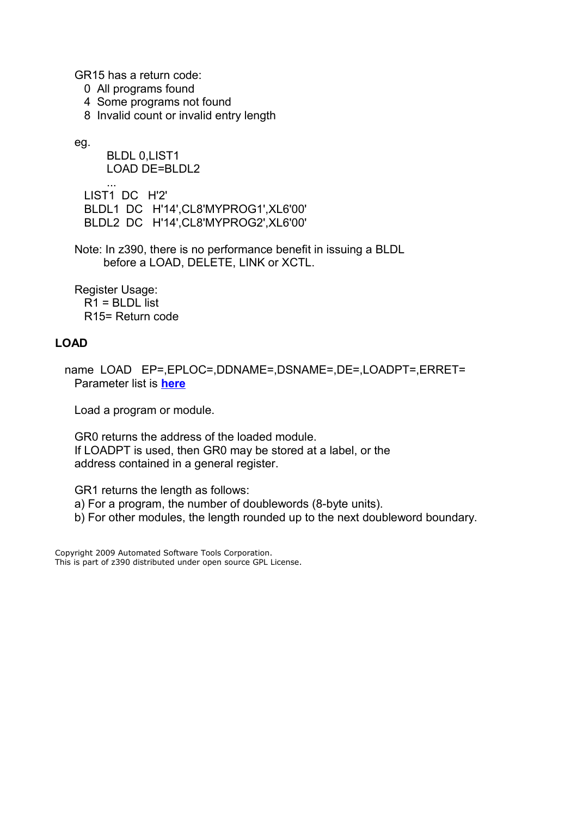GR15 has a return code:

- 0 All programs found
- 4 Some programs not found
- 8 Invalid count or invalid entry length

eg.

 BLDL 0,LIST1 LOAD DE=BLDL2

 ... LIST1 DC H'2' BLDL1 DC H'14',CL8'MYPROG1',XL6'00' BLDL2 DC H'14',CL8'MYPROG2',XL6'00'

 Note: In z390, there is no performance benefit in issuing a BLDL before a LOAD, DELETE, LINK or XCTL.

 Register Usage: R1 = BLDL list R15= Return code

# <span id="page-5-0"></span>**LOAD**

 name LOAD EP=,EPLOC=,DDNAME=,DSNAME=,DE=,LOADPT=,ERRET= Parameter list is **[here](#page-9-0)**

Load a program or module.

 GR0 returns the address of the loaded module. If LOADPT is used, then GR0 may be stored at a label, or the address contained in a general register.

GR1 returns the length as follows:

a) For a program, the number of doublewords (8-byte units).

b) For other modules, the length rounded up to the next doubleword boundary.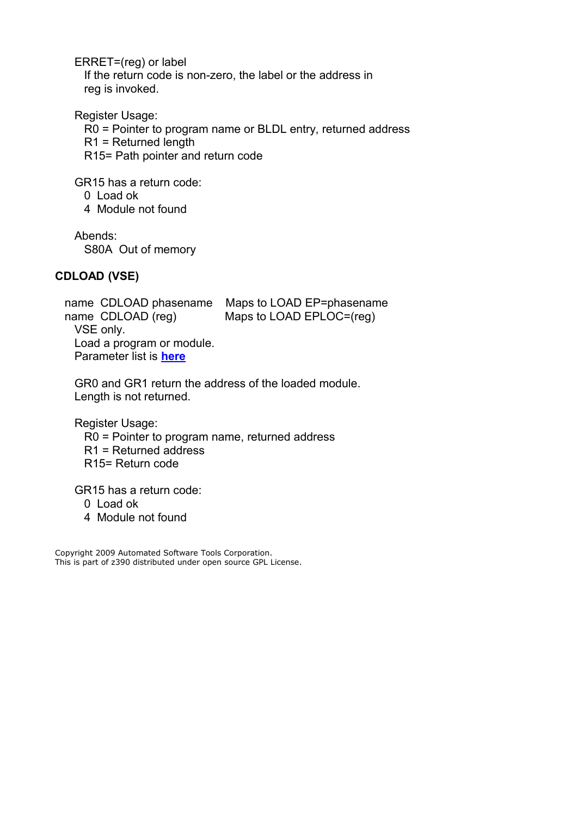ERRET=(reg) or label

 If the return code is non-zero, the label or the address in reg is invoked.

Register Usage:

R0 = Pointer to program name or BLDL entry, returned address

R1 = Returned length

R15= Path pointer and return code

GR15 has a return code:

0 Load ok

4 Module not found

Abends:

S80A Out of memory

# <span id="page-6-0"></span>**CDLOAD (VSE)**

 name CDLOAD phasename Maps to LOAD EP=phasename name CDLOAD (reg) Maps to LOAD EPLOC=(reg) VSE only. Load a program or module. Parameter list is **[here](#page-9-0)**

 GR0 and GR1 return the address of the loaded module. Length is not returned.

Register Usage:

R0 = Pointer to program name, returned address

R1 = Returned address

R15= Return code

GR15 has a return code:

0 Load ok

4 Module not found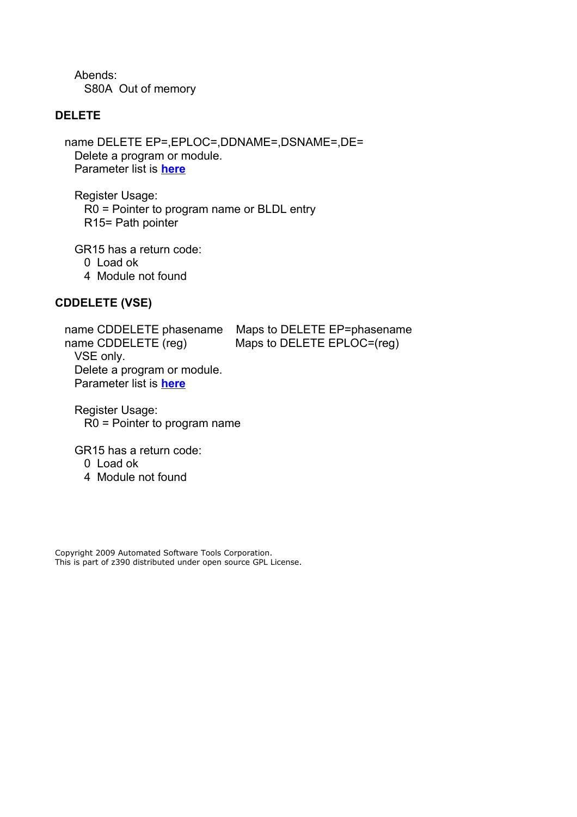Abends: S80A Out of memory

#### <span id="page-7-1"></span>**DELETE**

 name DELETE EP=,EPLOC=,DDNAME=,DSNAME=,DE= Delete a program or module. Parameter list is **[here](#page-9-0)**

 Register Usage: R0 = Pointer to program name or BLDL entry R15= Path pointer

GR15 has a return code:

0 Load ok

4 Module not found

# <span id="page-7-0"></span>**CDDELETE (VSE)**

 name CDDELETE phasename Maps to DELETE EP=phasename name CDDELETE (reg) Maps to DELETE EPLOC=(reg) VSE only. Delete a program or module. Parameter list is **[here](#page-9-0)**

 Register Usage: R0 = Pointer to program name

GR15 has a return code:

0 Load ok

4 Module not found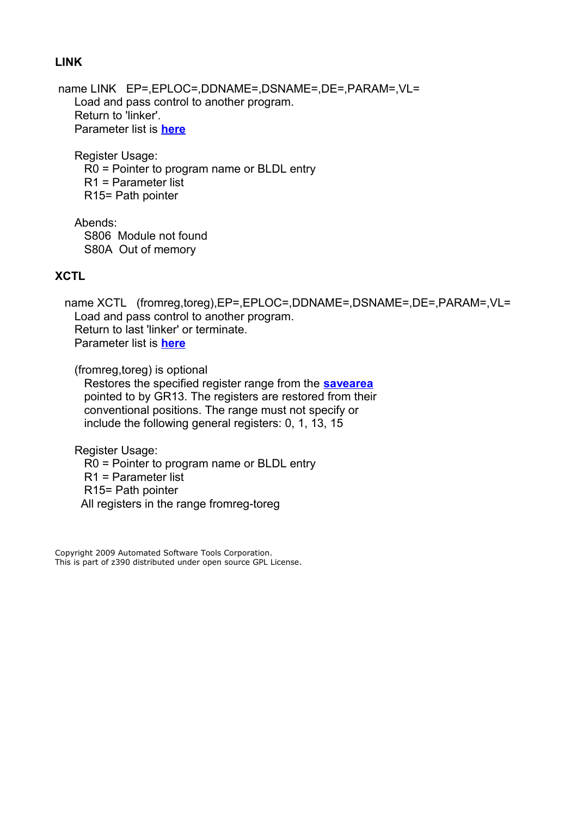#### <span id="page-8-1"></span>**LINK**

 name LINK EP=,EPLOC=,DDNAME=,DSNAME=,DE=,PARAM=,VL= Load and pass control to another program. Return to 'linker'. Parameter list is **[here](#page-9-0)**

 Register Usage: R0 = Pointer to program name or BLDL entry R1 = Parameter list R15= Path pointer

 Abends: S806 Module not found S80A Out of memory

# <span id="page-8-0"></span>**XCTL**

name XCTL (fromreg,toreg),EP=,EPLOC=,DDNAME=,DSNAME=,DE=,PARAM=,VL= Load and pass control to another program. Return to last 'linker' or terminate. Parameter list is **[here](#page-9-0)**

(fromreg,toreg) is optional

 Restores the specified register range from the **[savearea](#page-3-1)** pointed to by GR13. The registers are restored from their conventional positions. The range must not specify or include the following general registers: 0, 1, 13, 15

Register Usage:

 R0 = Pointer to program name or BLDL entry R1 = Parameter list R15= Path pointer

All registers in the range fromreg-toreg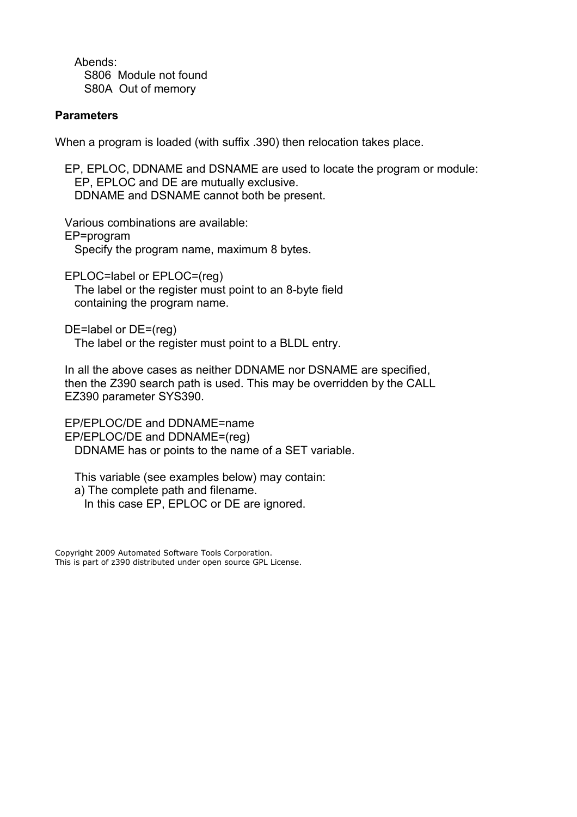Abends: S806 Module not found S80A Out of memory

# <span id="page-9-0"></span>**Parameters**

When a program is loaded (with suffix .390) then relocation takes place.

 EP, EPLOC, DDNAME and DSNAME are used to locate the program or module: EP, EPLOC and DE are mutually exclusive. DDNAME and DSNAME cannot both be present.

 Various combinations are available: EP=program Specify the program name, maximum 8 bytes.

 EPLOC=label or EPLOC=(reg) The label or the register must point to an 8-byte field containing the program name.

 DE=label or DE=(reg) The label or the register must point to a BLDL entry.

 In all the above cases as neither DDNAME nor DSNAME are specified, then the Z390 search path is used. This may be overridden by the CALL EZ390 parameter SYS390.

 EP/EPLOC/DE and DDNAME=name EP/EPLOC/DE and DDNAME=(reg) DDNAME has or points to the name of a SET variable.

 This variable (see examples below) may contain: a) The complete path and filename. In this case EP, EPLOC or DE are ignored.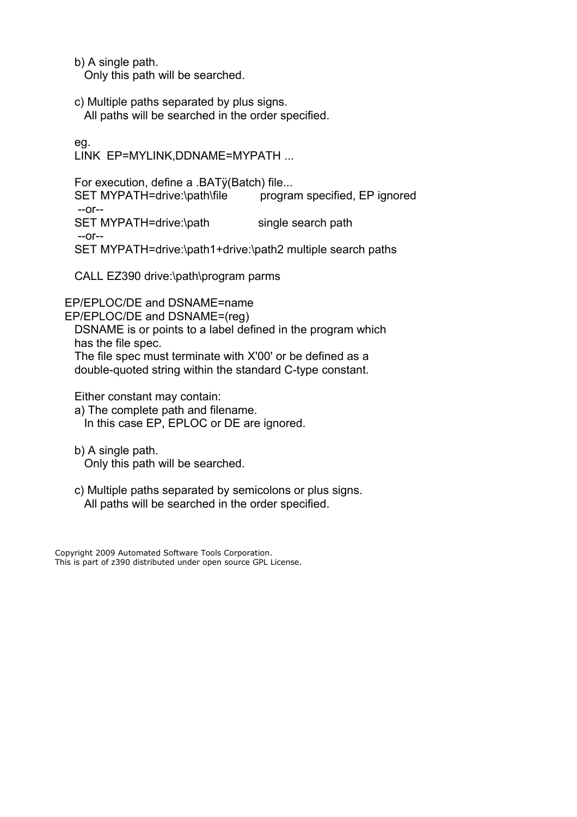b) A single path.

Only this path will be searched.

 c) Multiple paths separated by plus signs. All paths will be searched in the order specified.

eg.

LINK EP=MYLINK,DDNAME=MYPATH ...

 For execution, define a .BATÿ(Batch) file... SET MYPATH=drive:\path\file program specified, EP ignored --or-- SET MYPATH=drive:\path single search path --or-- SET MYPATH=drive:\path1+drive:\path2 multiple search paths

CALL EZ390 drive:\path\program parms

EP/EPLOC/DE and DSNAME=name

EP/EPLOC/DE and DSNAME=(reg)

 DSNAME is or points to a label defined in the program which has the file spec.

 The file spec must terminate with X'00' or be defined as a double-quoted string within the standard C-type constant.

Either constant may contain:

 a) The complete path and filename. In this case EP, EPLOC or DE are ignored.

 b) A single path. Only this path will be searched.

 c) Multiple paths separated by semicolons or plus signs. All paths will be searched in the order specified.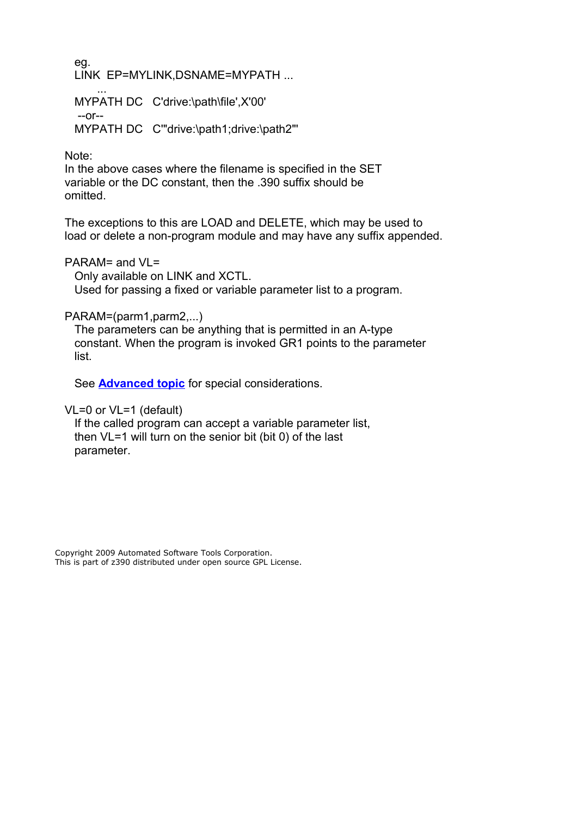eg. LINK EP=MYLINK,DSNAME=MYPATH ...

 ... MYPATH DC C'drive:\path\file',X'00' --or-- MYPATH DC C'"drive:\path1;drive:\path2"'

Note:

 In the above cases where the filename is specified in the SET variable or the DC constant, then the .390 suffix should be omitted.

 The exceptions to this are LOAD and DELETE, which may be used to load or delete a non-program module and may have any suffix appended.

PARAM= and VL=

Only available on LINK and XCTL.

Used for passing a fixed or variable parameter list to a program.

# PARAM=(parm1,parm2,...)

 The parameters can be anything that is permitted in an A-type constant. When the program is invoked GR1 points to the parameter list.

See **[Advanced topic](#page-12-1)** for special considerations.

VL=0 or VL=1 (default)

 If the called program can accept a variable parameter list, then VL=1 will turn on the senior bit (bit 0) of the last parameter.

Copyright 2009 Automated Software Tools Corporation. This is part of z390 distributed under open source GPL License.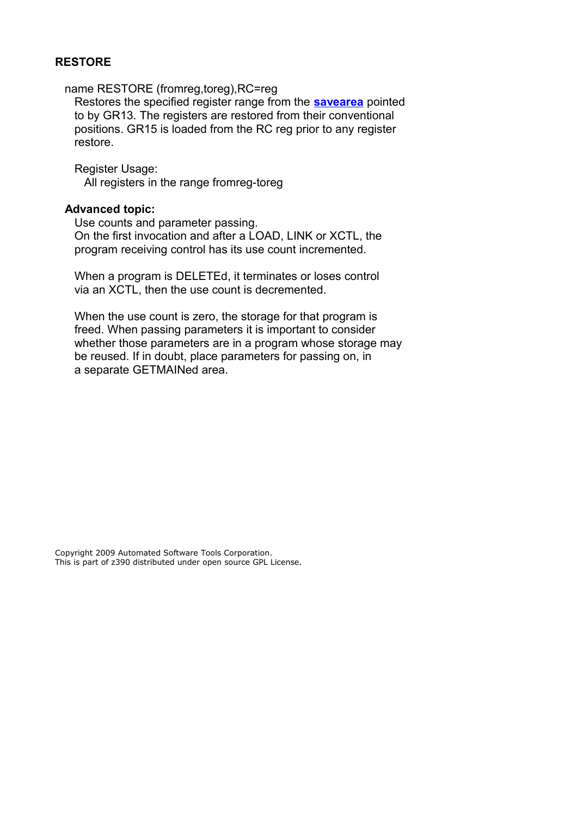#### <span id="page-12-0"></span>**RESTORE**

name RESTORE (fromreg,toreg),RC=reg

 Restores the specified register range from the **[savearea](#page-3-1)** pointed to by GR13. The registers are restored from their conventional positions. GR15 is loaded from the RC reg prior to any register restore.

 Register Usage: All registers in the range fromreg-toreg

#### <span id="page-12-1"></span>**Advanced topic:**

 Use counts and parameter passing. On the first invocation and after a LOAD, LINK or XCTL, the program receiving control has its use count incremented.

 When a program is DELETEd, it terminates or loses control via an XCTL, then the use count is decremented.

 When the use count is zero, the storage for that program is freed. When passing parameters it is important to consider whether those parameters are in a program whose storage may be reused. If in doubt, place parameters for passing on, in a separate GETMAINed area.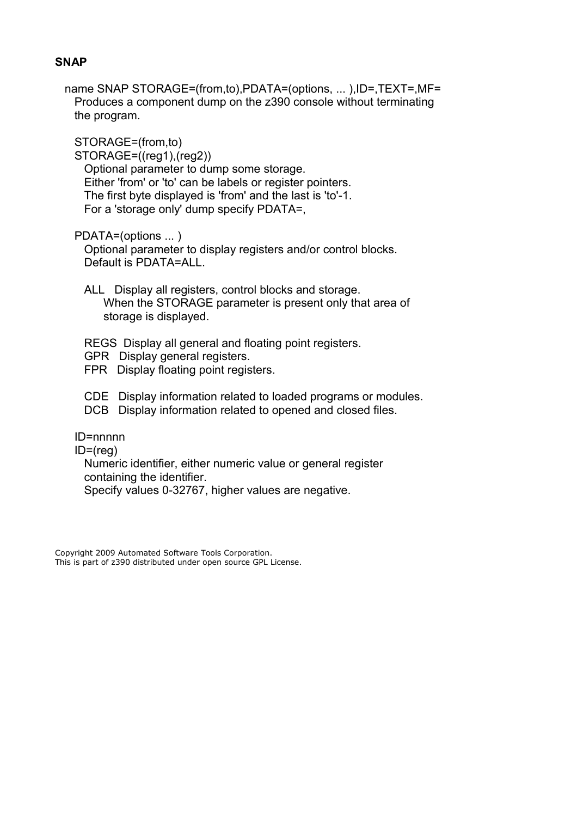#### <span id="page-13-0"></span>**SNAP**

name SNAP STORAGE=(from,to),PDATA=(options, ...),ID=,TEXT=,MF= Produces a component dump on the z390 console without terminating the program.

STORAGE=(from,to)

STORAGE=((reg1),(reg2))

 Optional parameter to dump some storage. Either 'from' or 'to' can be labels or register pointers. The first byte displayed is 'from' and the last is 'to'-1. For a 'storage only' dump specify PDATA=,

PDATA=(options ... )

 Optional parameter to display registers and/or control blocks. Default is PDATA=ALL.

 ALL Display all registers, control blocks and storage. When the STORAGE parameter is present only that area of storage is displayed.

REGS Display all general and floating point registers.

- GPR Display general registers.
- FPR Display floating point registers.
- CDE Display information related to loaded programs or modules.
- DCB Display information related to opened and closed files.

ID=nnnnn

ID=(reg)

 Numeric identifier, either numeric value or general register containing the identifier.

Specify values 0-32767, higher values are negative.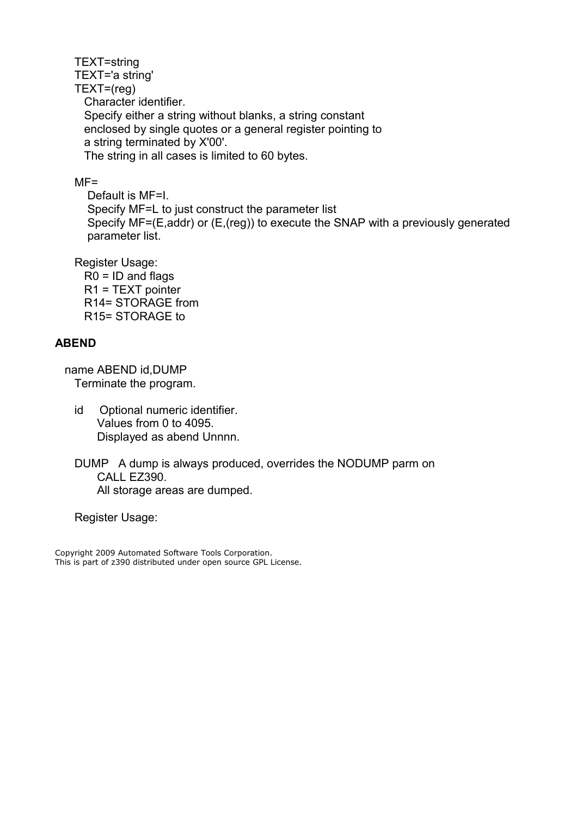TEXT=string TEXT='a string' TEXT=(reg) Character identifier. Specify either a string without blanks, a string constant enclosed by single quotes or a general register pointing to a string terminated by X'00'. The string in all cases is limited to 60 bytes.

# $MF =$

 Default is MF=I. Specify MF=L to just construct the parameter list Specify MF=(E,addr) or (E,(reg)) to execute the SNAP with a previously generated parameter list.

Register Usage:

 $R0 = ID$  and flags R1 = TEXT pointer R14= STORAGE from R15= STORAGE to

# <span id="page-14-0"></span>**ABEND**

 name ABEND id,DUMP Terminate the program.

- id Optional numeric identifier. Values from 0 to 4095. Displayed as abend Unnnn.
- DUMP A dump is always produced, overrides the NODUMP parm on CALL EZ390. All storage areas are dumped.

Register Usage: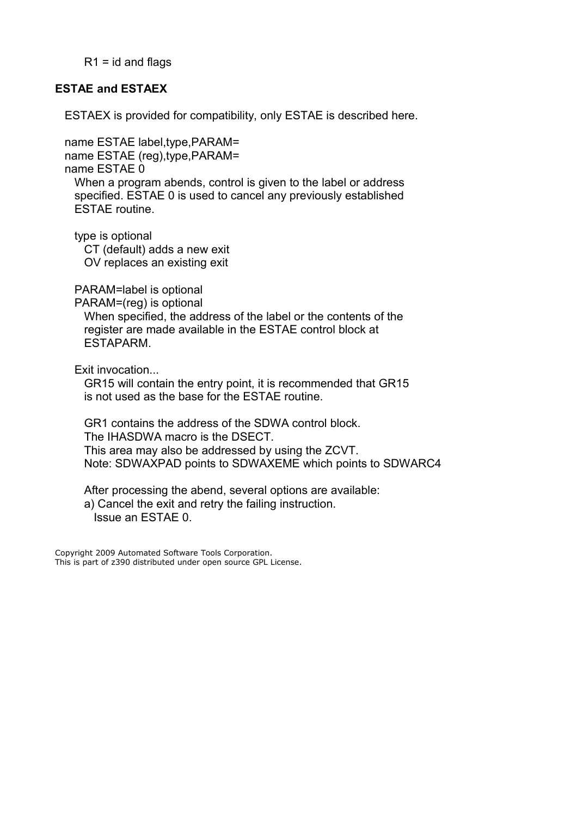$R1$  = id and flags

# <span id="page-15-0"></span>**ESTAE and ESTAEX**

ESTAEX is provided for compatibility, only ESTAE is described here.

 name ESTAE label,type,PARAM= name ESTAE (reg),type,PARAM= name ESTAE 0 When a program abends, control is given to the label or address specified. ESTAE 0 is used to cancel any previously established ESTAE routine.

type is optional

 CT (default) adds a new exit OV replaces an existing exit

PARAM=label is optional

PARAM=(reg) is optional

 When specified, the address of the label or the contents of the register are made available in the ESTAE control block at ESTAPARM.

Exit invocation...

 GR15 will contain the entry point, it is recommended that GR15 is not used as the base for the ESTAE routine.

 GR1 contains the address of the SDWA control block. The IHASDWA macro is the DSECT. This area may also be addressed by using the ZCVT. Note: SDWAXPAD points to SDWAXEME which points to SDWARC4

 After processing the abend, several options are available: a) Cancel the exit and retry the failing instruction. Issue an ESTAE 0.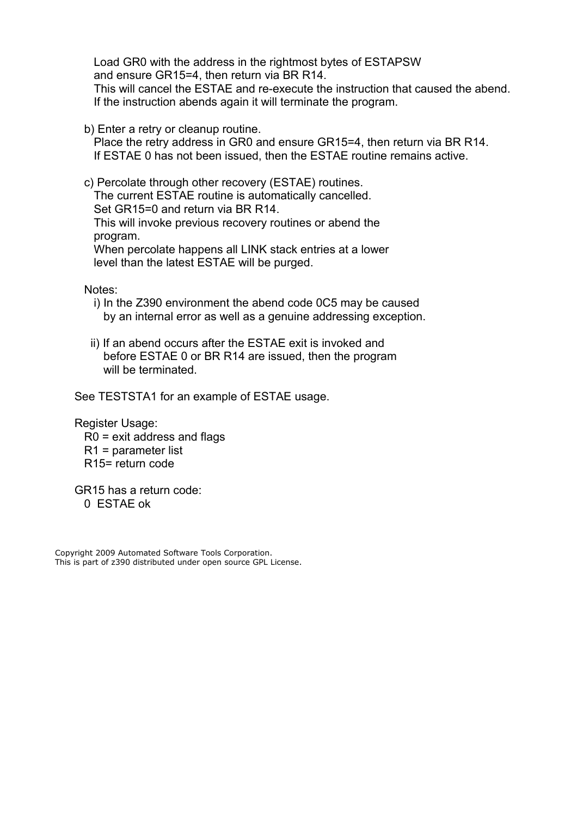Load GR0 with the address in the rightmost bytes of ESTAPSW and ensure GR15=4, then return via BR R14. This will cancel the ESTAE and re-execute the instruction that caused the abend. If the instruction abends again it will terminate the program.

b) Enter a retry or cleanup routine.

 Place the retry address in GR0 and ensure GR15=4, then return via BR R14. If ESTAE 0 has not been issued, then the ESTAE routine remains active.

 c) Percolate through other recovery (ESTAE) routines. The current ESTAE routine is automatically cancelled. Set GR15=0 and return via BR R14. This will invoke previous recovery routines or abend the program. When percolate happens all LINK stack entries at a lower level than the latest ESTAE will be purged.

Notes:

- i) In the Z390 environment the abend code 0C5 may be caused by an internal error as well as a genuine addressing exception.
- ii) If an abend occurs after the ESTAE exit is invoked and before ESTAE 0 or BR R14 are issued, then the program will be terminated.

See TESTSTA1 for an example of ESTAE usage.

 Register Usage: R0 = exit address and flags R1 = parameter list R15= return code

 GR15 has a return code: 0 ESTAE ok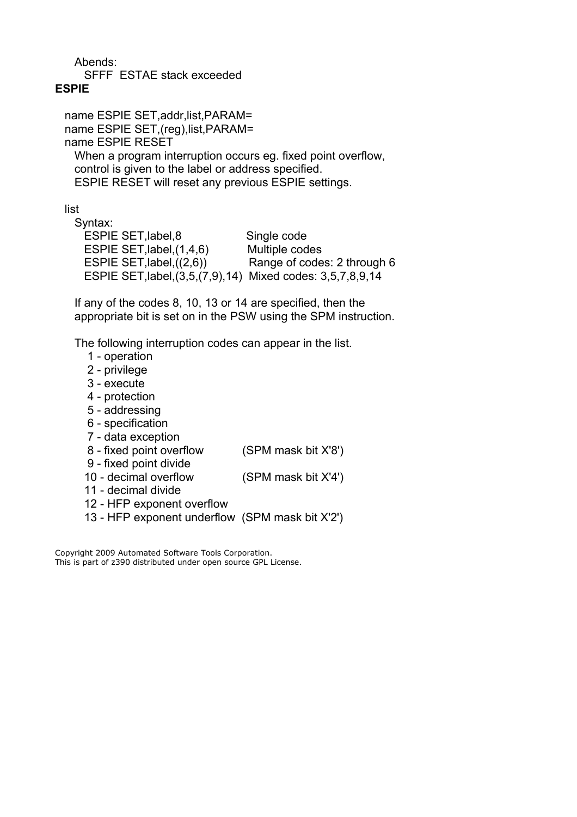Abends:

SFFF ESTAE stack exceeded

# <span id="page-17-0"></span>**ESPIE**

 name ESPIE SET,addr,list,PARAM= name ESPIE SET, (reg), list, PARAM= name ESPIE RESET When a program interruption occurs eg. fixed point overflow, control is given to the label or address specified. ESPIE RESET will reset any previous ESPIE settings.

list

 Syntax: ESPIE SET,label,8 Single code ESPIE SET, label, (1,4,6) Multiple codes ESPIE SET,label,((2,6)) Range of codes: 2 through 6 ESPIE SET,label,(3,5,(7,9),14) Mixed codes: 3,5,7,8,9,14

 If any of the codes 8, 10, 13 or 14 are specified, then the appropriate bit is set on in the PSW using the SPM instruction.

The following interruption codes can appear in the list.

- 1 operation
- 2 privilege
- 3 execute
- 4 protection
- 5 addressing
- 6 specification
- 7 data exception
- 8 fixed point overflow (SPM mask bit X'8')
- 9 fixed point divide
- 10 decimal overflow (SPM mask bit X'4')
- 11 decimal divide
- 12 HFP exponent overflow
- 13 HFP exponent underflow (SPM mask bit X'2')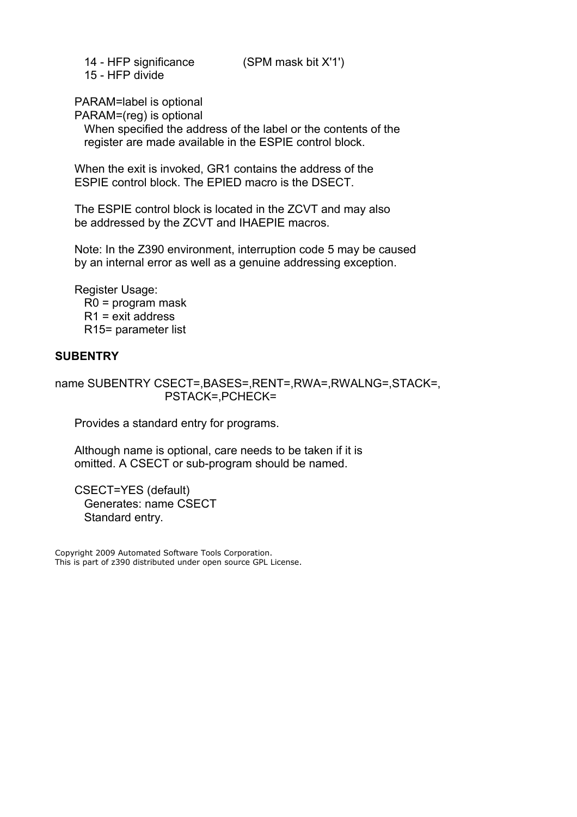14 - HFP significance (SPM mask bit X'1') 15 - HFP divide

PARAM=label is optional

PARAM=(reg) is optional

 When specified the address of the label or the contents of the register are made available in the ESPIE control block.

 When the exit is invoked, GR1 contains the address of the ESPIE control block. The EPIED macro is the DSECT.

 The ESPIE control block is located in the ZCVT and may also be addressed by the ZCVT and IHAEPIE macros.

 Note: In the Z390 environment, interruption code 5 may be caused by an internal error as well as a genuine addressing exception.

 Register Usage: R0 = program mask R1 = exit address R15= parameter list

# <span id="page-18-0"></span>**SUBENTRY**

name SUBENTRY CSECT=,BASES=,RENT=,RWA=,RWALNG=,STACK=, PSTACK=,PCHECK=

Provides a standard entry for programs.

 Although name is optional, care needs to be taken if it is omitted. A CSECT or sub-program should be named.

 CSECT=YES (default) Generates: name CSECT Standard entry.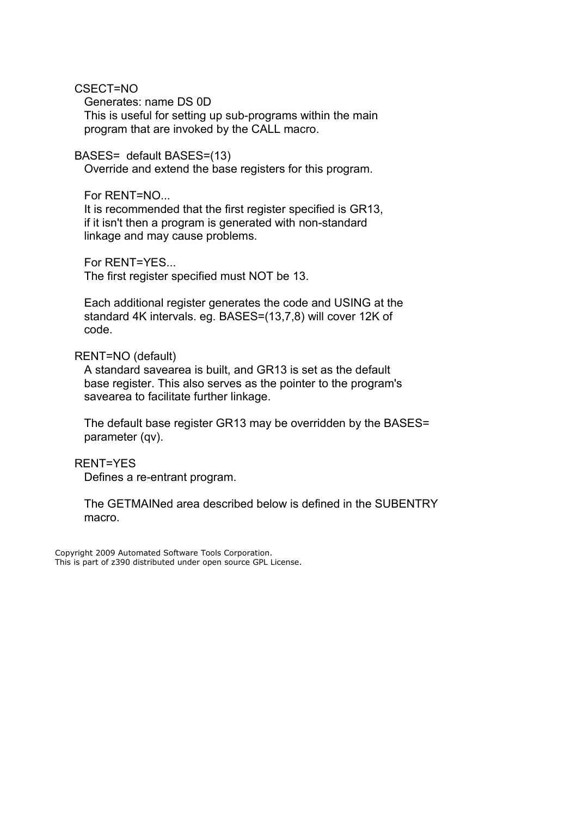CSECT=NO

 Generates: name DS 0D This is useful for setting up sub-programs within the main program that are invoked by the CALL macro.

BASES= default BASES=(13)

Override and extend the base registers for this program.

For RENT=NO...

 It is recommended that the first register specified is GR13, if it isn't then a program is generated with non-standard linkage and may cause problems.

For RENT=YES...

The first register specified must NOT be 13.

 Each additional register generates the code and USING at the standard 4K intervals. eg. BASES=(13,7,8) will cover 12K of code.

#### RENT=NO (default)

 A standard savearea is built, and GR13 is set as the default base register. This also serves as the pointer to the program's savearea to facilitate further linkage.

 The default base register GR13 may be overridden by the BASES= parameter (qv).

 RENT=YES Defines a re-entrant program.

 The GETMAINed area described below is defined in the SUBENTRY macro.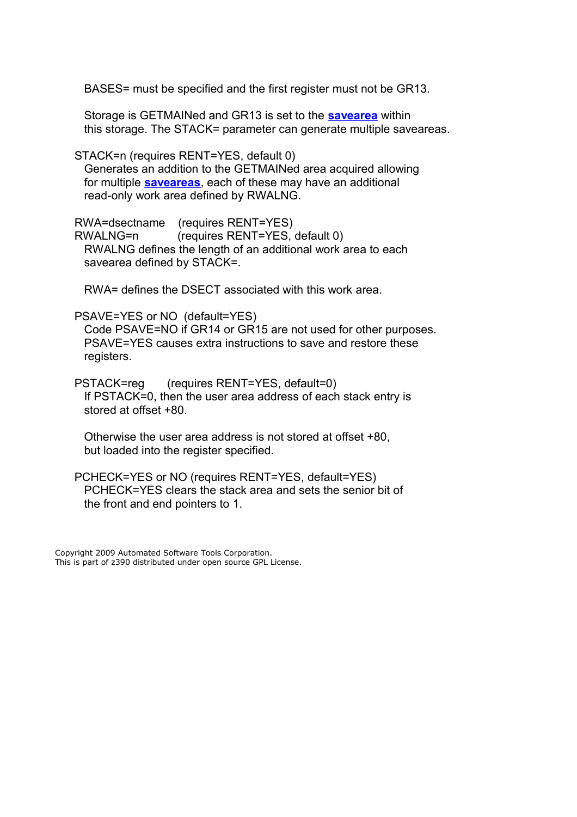BASES= must be specified and the first register must not be GR13.

 Storage is GETMAINed and GR13 is set to the **[savearea](#page-3-1)** within this storage. The STACK= parameter can generate multiple saveareas.

STACK=n (requires RENT=YES, default 0)

 Generates an addition to the GETMAINed area acquired allowing for multiple **[saveareas](#page-3-1)**, each of these may have an additional read-only work area defined by RWALNG.

 RWA=dsectname (requires RENT=YES) RWALNG=n (requires RENT=YES, default 0) RWALNG defines the length of an additional work area to each savearea defined by STACK=.

RWA= defines the DSECT associated with this work area.

#### PSAVE=YES or NO (default=YES)

 Code PSAVE=NO if GR14 or GR15 are not used for other purposes. PSAVE=YES causes extra instructions to save and restore these registers.

 PSTACK=reg (requires RENT=YES, default=0) If PSTACK=0, then the user area address of each stack entry is stored at offset +80.

 Otherwise the user area address is not stored at offset +80, but loaded into the register specified.

 PCHECK=YES or NO (requires RENT=YES, default=YES) PCHECK=YES clears the stack area and sets the senior bit of the front and end pointers to 1.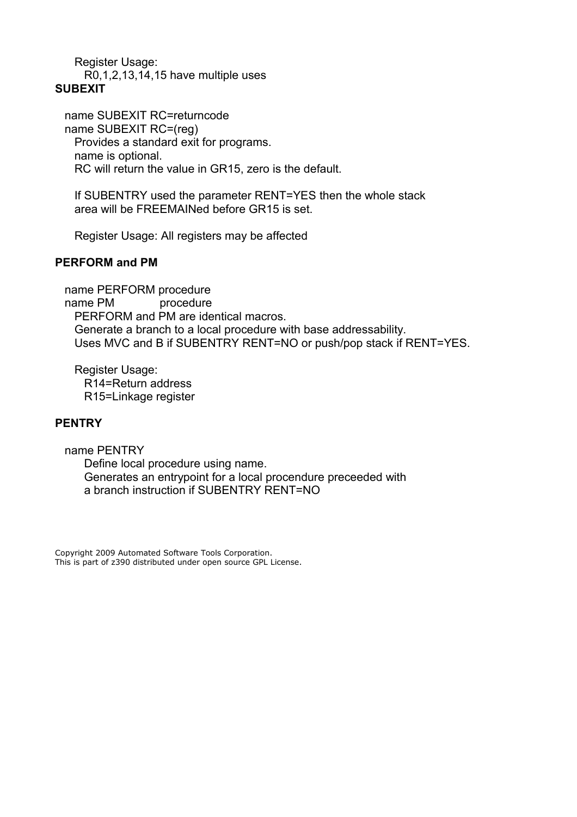Register Usage: R0,1,2,13,14,15 have multiple uses

<span id="page-21-2"></span>**SUBEXIT**

 name SUBEXIT RC=returncode name SUBEXIT RC=(reg) Provides a standard exit for programs. name is optional. RC will return the value in GR15, zero is the default.

 If SUBENTRY used the parameter RENT=YES then the whole stack area will be FREEMAINed before GR15 is set.

Register Usage: All registers may be affected

# <span id="page-21-1"></span>**PERFORM and PM**

 name PERFORM procedure name PM procedure PERFORM and PM are identical macros. Generate a branch to a local procedure with base addressability. Uses MVC and B if SUBENTRY RENT=NO or push/pop stack if RENT=YES.

 Register Usage: R14=Return address R15=Linkage register

#### <span id="page-21-0"></span>**PENTRY**

 name PENTRY Define local procedure using name. Generates an entrypoint for a local procendure preceeded with a branch instruction if SUBENTRY RENT=NO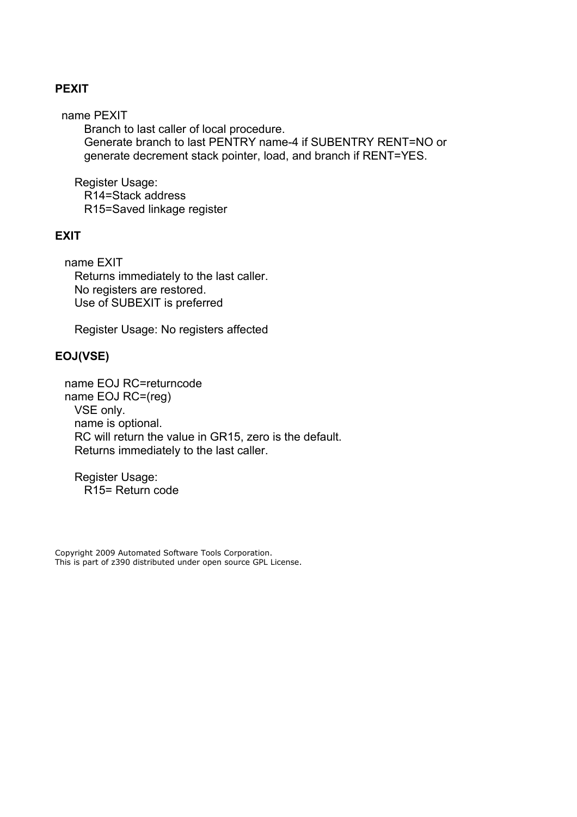# <span id="page-22-2"></span>**PEXIT**

name PEXIT

 Branch to last caller of local procedure. Generate branch to last PENTRY name-4 if SUBENTRY RENT=NO or generate decrement stack pointer, load, and branch if RENT=YES.

 Register Usage: R14=Stack address R15=Saved linkage register

# <span id="page-22-1"></span>**EXIT**

 name EXIT Returns immediately to the last caller. No registers are restored. Use of SUBEXIT is preferred

Register Usage: No registers affected

# <span id="page-22-0"></span>**EOJ(VSE)**

 name EOJ RC=returncode name EOJ RC=(reg) VSE only. name is optional. RC will return the value in GR15, zero is the default. Returns immediately to the last caller.

 Register Usage: R15= Return code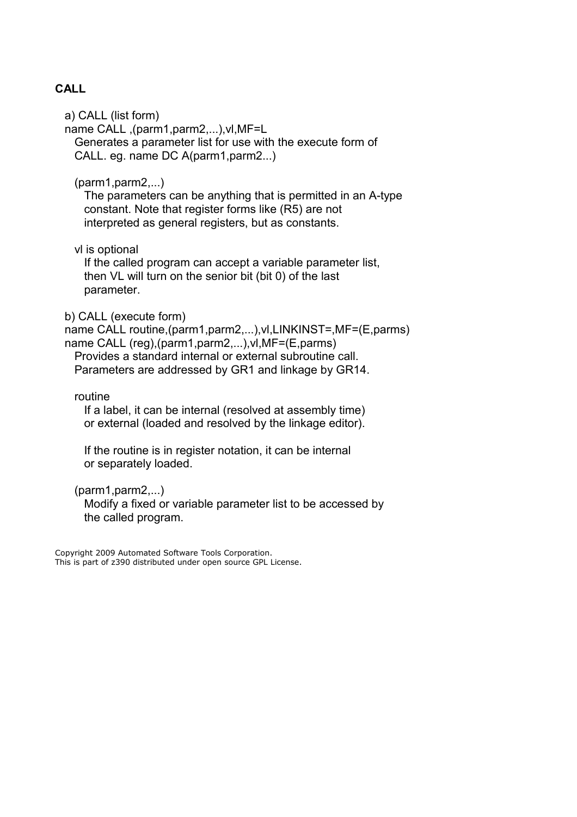# <span id="page-23-0"></span>**CALL**

a) CALL (list form)

 name CALL ,(parm1,parm2,...),vl,MF=L Generates a parameter list for use with the execute form of CALL. eg. name DC A(parm1,parm2...)

(parm1,parm2,...)

 The parameters can be anything that is permitted in an A-type constant. Note that register forms like (R5) are not interpreted as general registers, but as constants.

vl is optional

 If the called program can accept a variable parameter list, then VL will turn on the senior bit (bit 0) of the last parameter.

b) CALL (execute form)

 name CALL routine,(parm1,parm2,...),vl,LINKINST=,MF=(E,parms) name CALL (reg),(parm1,parm2,...),vl,MF=(E,parms)

 Provides a standard internal or external subroutine call. Parameters are addressed by GR1 and linkage by GR14.

routine

 If a label, it can be internal (resolved at assembly time) or external (loaded and resolved by the linkage editor).

 If the routine is in register notation, it can be internal or separately loaded.

(parm1,parm2,...)

 Modify a fixed or variable parameter list to be accessed by the called program.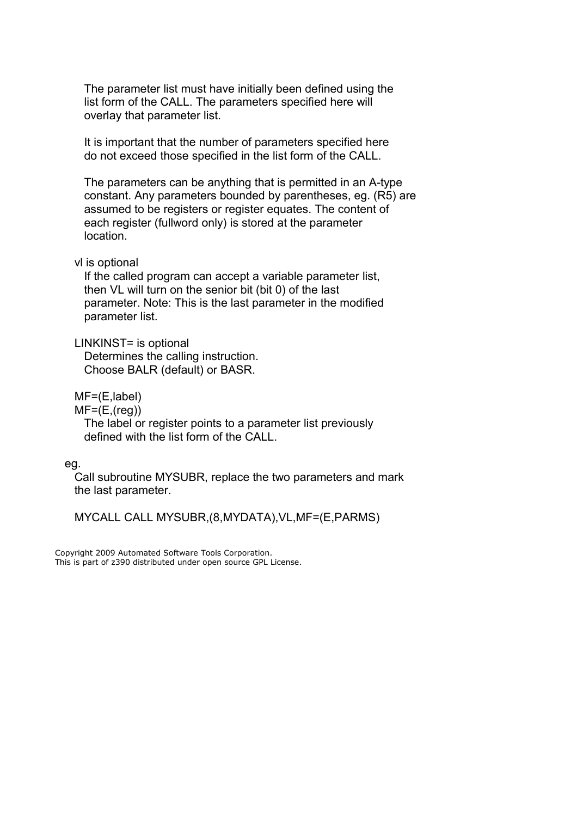The parameter list must have initially been defined using the list form of the CALL. The parameters specified here will overlay that parameter list.

 It is important that the number of parameters specified here do not exceed those specified in the list form of the CALL.

 The parameters can be anything that is permitted in an A-type constant. Any parameters bounded by parentheses, eg. (R5) are assumed to be registers or register equates. The content of each register (fullword only) is stored at the parameter location.

#### vl is optional

 If the called program can accept a variable parameter list, then VL will turn on the senior bit (bit 0) of the last parameter. Note: This is the last parameter in the modified parameter list.

#### LINKINST= is optional

 Determines the calling instruction. Choose BALR (default) or BASR.

MF=(E,label)

 $MF=(E,(reg))$ 

 The label or register points to a parameter list previously defined with the list form of the CALL.

eg.

 Call subroutine MYSUBR, replace the two parameters and mark the last parameter.

MYCALL CALL MYSUBR,(8,MYDATA),VL,MF=(E,PARMS)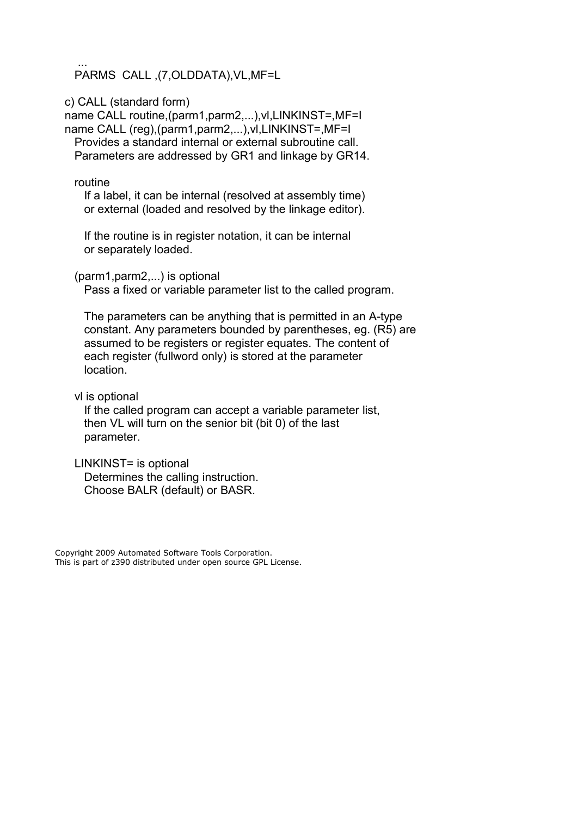... PARMS CALL ,(7,OLDDATA),VL,MF=L

c) CALL (standard form)

 name CALL routine,(parm1,parm2,...),vl,LINKINST=,MF=I name CALL (reg),(parm1,parm2,...),vl,LINKINST=,MF=I Provides a standard internal or external subroutine call. Parameters are addressed by GR1 and linkage by GR14.

routine

 If a label, it can be internal (resolved at assembly time) or external (loaded and resolved by the linkage editor).

 If the routine is in register notation, it can be internal or separately loaded.

(parm1,parm2,...) is optional

Pass a fixed or variable parameter list to the called program.

 The parameters can be anything that is permitted in an A-type constant. Any parameters bounded by parentheses, eg. (R5) are assumed to be registers or register equates. The content of each register (fullword only) is stored at the parameter location.

vl is optional

 If the called program can accept a variable parameter list, then VL will turn on the senior bit (bit 0) of the last parameter.

 LINKINST= is optional Determines the calling instruction. Choose BALR (default) or BASR.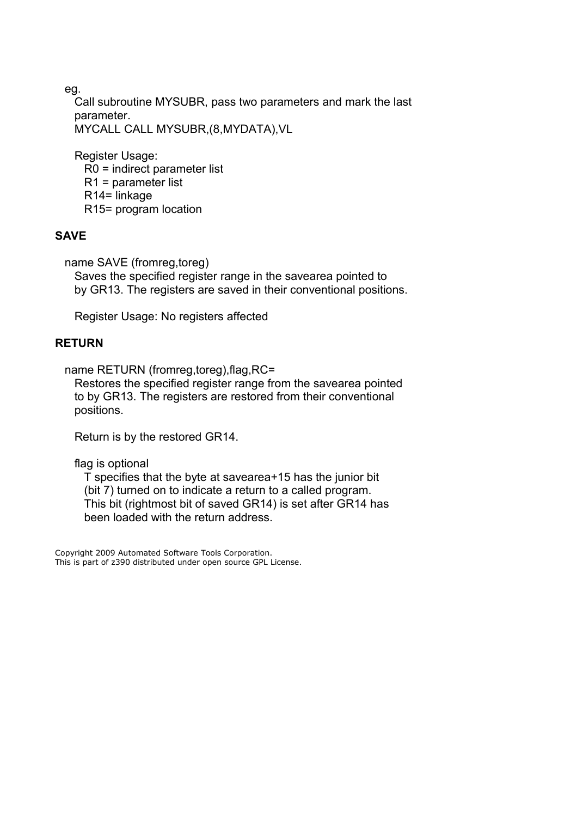eg.

 Call subroutine MYSUBR, pass two parameters and mark the last parameter. MYCALL CALL MYSUBR,(8,MYDATA),VL

 Register Usage: R0 = indirect parameter list R1 = parameter list R14= linkage R15= program location

# <span id="page-26-1"></span>**SAVE**

name SAVE (fromreg,toreg)

 Saves the specified register range in the savearea pointed to by GR13. The registers are saved in their conventional positions.

Register Usage: No registers affected

# <span id="page-26-0"></span>**RETURN**

name RETURN (fromreg,toreg), flag, RC=

 Restores the specified register range from the savearea pointed to by GR13. The registers are restored from their conventional positions.

Return is by the restored GR14.

flag is optional

 T specifies that the byte at savearea+15 has the junior bit (bit 7) turned on to indicate a return to a called program. This bit (rightmost bit of saved GR14) is set after GR14 has been loaded with the return address.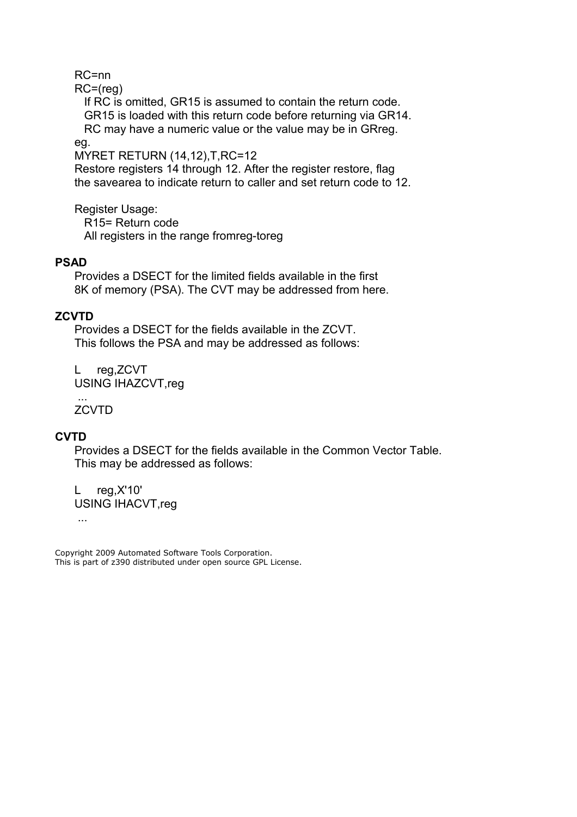RC=nn

RC=(reg)

 If RC is omitted, GR15 is assumed to contain the return code. GR15 is loaded with this return code before returning via GR14. RC may have a numeric value or the value may be in GRreg.

eg.

MYRET RETURN (14,12),T,RC=12

 Restore registers 14 through 12. After the register restore, flag the savearea to indicate return to caller and set return code to 12.

 Register Usage: R15= Return code All registers in the range fromreg-toreg

# <span id="page-27-2"></span>**PSAD**

 Provides a DSECT for the limited fields available in the first 8K of memory (PSA). The CVT may be addressed from here.

# <span id="page-27-0"></span>**ZCVTD**

 Provides a DSECT for the fields available in the ZCVT. This follows the PSA and may be addressed as follows:

 L reg,ZCVT USING IHAZCVT,reg

**ZCVTD** 

...

# <span id="page-27-1"></span>**CVTD**

 Provides a DSECT for the fields available in the Common Vector Table. This may be addressed as follows:

 L reg,X'10' USING IHACVT,reg

...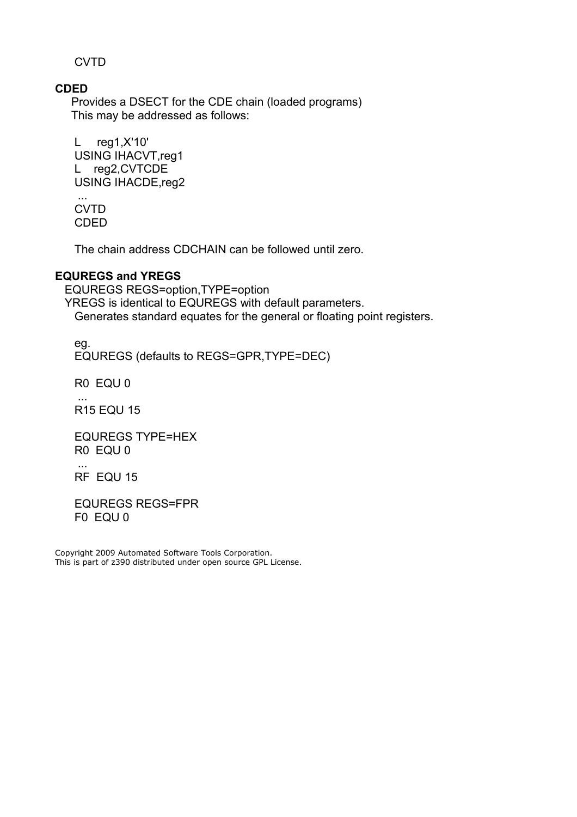**CVTD** 

# <span id="page-28-1"></span>**CDED**

Provides a DSECT for the CDE chain (loaded programs) This may be addressed as follows:

 L reg1,X'10' USING IHACVT,reg1 L reg2,CVTCDE USING IHACDE,reg2

 ... CVTD CDED

The chain address CDCHAIN can be followed until zero.

# <span id="page-28-0"></span>**EQUREGS and YREGS**

 EQUREGS REGS=option,TYPE=option YREGS is identical to EQUREGS with default parameters. Generates standard equates for the general or floating point registers.

 eg. EQUREGS (defaults to REGS=GPR,TYPE=DEC)

R0 EQU 0

...

...

R15 EQU 15

 EQUREGS TYPE=HEX R0 EQU 0

RF EQU 15

 EQUREGS REGS=FPR F0 EQU 0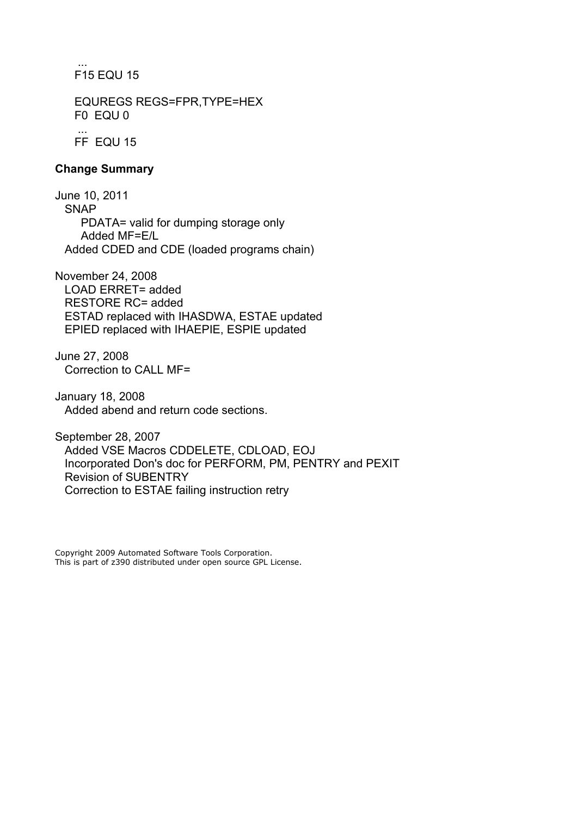... F15 EQU 15

> EQUREGS REGS=FPR,TYPE=HEX F0 EQU 0

 ... FF EQU 15

# <span id="page-29-0"></span>**Change Summary**

June 10, 2011 SNAP PDATA= valid for dumping storage only Added MF=E/L Added CDED and CDE (loaded programs chain)

November 24, 2008 LOAD ERRET= added RESTORE RC= added ESTAD replaced with IHASDWA, ESTAE updated EPIED replaced with IHAEPIE, ESPIE updated

June 27, 2008 Correction to CALL MF=

January 18, 2008 Added abend and return code sections.

September 28, 2007 Added VSE Macros CDDELETE, CDLOAD, EOJ Incorporated Don's doc for PERFORM, PM, PENTRY and PEXIT Revision of SUBENTRY Correction to ESTAE failing instruction retry